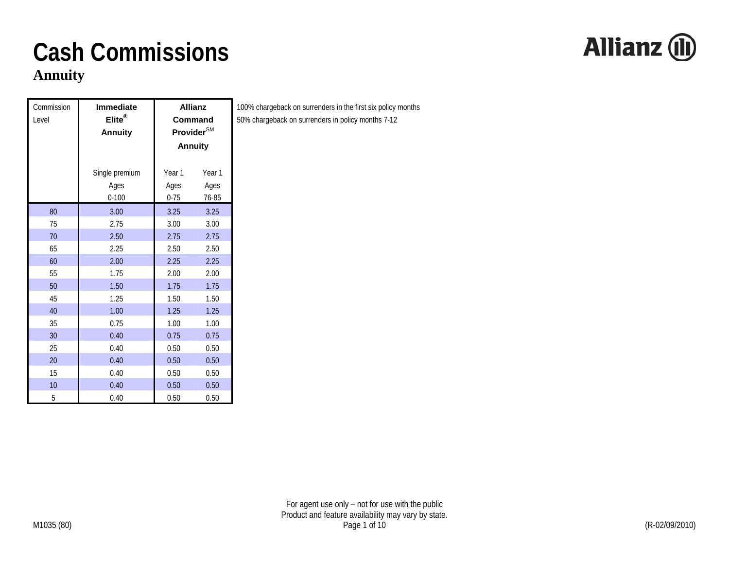#### **Annuity**

| Commission<br>Level | <b>Immediate</b><br>Elite®<br><b>Annuity</b> |          | <b>Allianz</b><br>Command<br>Provider <sup>SM</sup><br><b>Annuity</b> | $\mathbf{1}$<br>5 |
|---------------------|----------------------------------------------|----------|-----------------------------------------------------------------------|-------------------|
|                     | Single premium                               | Year 1   | Year 1                                                                |                   |
|                     | Ages                                         | Ages     | Ages                                                                  |                   |
|                     | $0 - 100$                                    | $0 - 75$ | 76-85                                                                 |                   |
| 80                  | 3.00                                         | 3.25     | 3.25                                                                  |                   |
| 75                  | 2.75                                         | 3.00     | 3.00                                                                  |                   |
| 70                  | 2.50                                         | 2.75     | 2.75                                                                  |                   |
| 65                  | 2.25                                         | 2.50     | 2.50                                                                  |                   |
| 60                  | 2.00                                         | 2.25     | 2.25                                                                  |                   |
| 55                  | 1.75                                         | 2.00     | 2.00                                                                  |                   |
| 50                  | 1.50                                         | 1.75     | 1.75                                                                  |                   |
| 45                  | 1.25                                         | 1.50     | 1.50                                                                  |                   |
| 40                  | 1.00                                         | 1.25     | 1.25                                                                  |                   |
| 35                  | 0.75                                         | 1.00     | 1.00                                                                  |                   |
| 30                  | 0.40                                         | 0.75     | 0.75                                                                  |                   |
| 25                  | 0.40                                         | 0.50     | 0.50                                                                  |                   |
| 20                  | 0.40                                         | 0.50     | 0.50                                                                  |                   |
| 15                  | 0.40                                         | 0.50     | 0.50                                                                  |                   |
| 10                  | 0.40                                         | 0.50     | 0.50                                                                  |                   |
| 5                   | 0.40                                         | 0.50     | 0.50                                                                  |                   |

100% chargeback on surrenders in the first six policy months 50% chargeback on surrenders in policy months 7-12

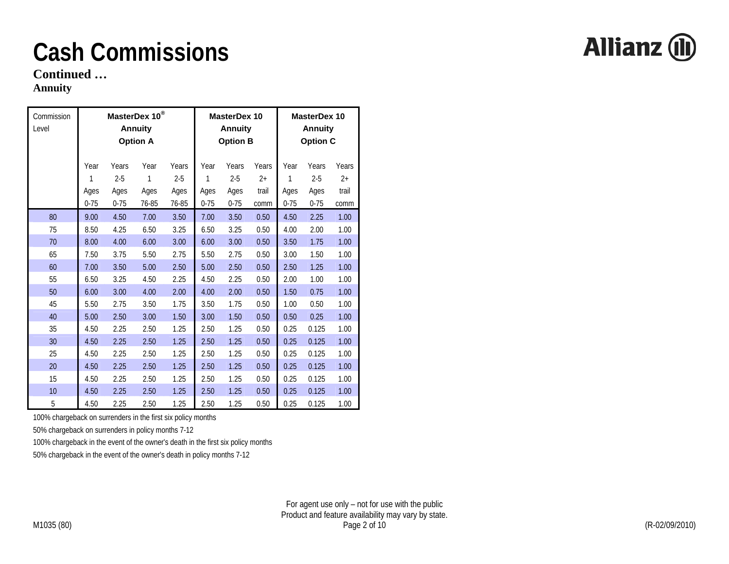**Continued …** 

#### **Annuity**

| Commission<br>Level |                               |                                      | MasterDex 10 <sup>®</sup><br><b>Annuity</b><br><b>Option A</b> |                                   |                               | <b>MasterDex 10</b><br><b>Annuity</b><br><b>Option B</b> |                                | <b>MasterDex 10</b><br><b>Annuity</b><br><b>Option C</b> |                                      |                                |
|---------------------|-------------------------------|--------------------------------------|----------------------------------------------------------------|-----------------------------------|-------------------------------|----------------------------------------------------------|--------------------------------|----------------------------------------------------------|--------------------------------------|--------------------------------|
|                     | Year<br>1<br>Ages<br>$0 - 75$ | Years<br>$2 - 5$<br>Ages<br>$0 - 75$ | Year<br>1<br>Ages<br>76-85                                     | Years<br>$2 - 5$<br>Ages<br>76-85 | Year<br>1<br>Ages<br>$0 - 75$ | Years<br>$2 - 5$<br>Ages<br>$0 - 75$                     | Years<br>$2+$<br>trail<br>comm | Year<br>1<br>Ages<br>$0 - 75$                            | Years<br>$2 - 5$<br>Ages<br>$0 - 75$ | Years<br>$2+$<br>trail<br>comm |
| 80                  | 9.00                          | 4.50                                 | 7.00                                                           | 3.50                              | 7.00                          | 3.50                                                     | 0.50                           | 4.50                                                     | 2.25                                 | 1.00                           |
| 75                  | 8.50                          | 4.25                                 | 6.50                                                           | 3.25                              | 6.50                          | 3.25                                                     | 0.50                           | 4.00                                                     | 2.00                                 | 1.00                           |
| 70                  | 8.00                          | 4.00                                 | 6.00                                                           | 3.00                              | 6.00                          | 3.00                                                     | 0.50                           | 3.50                                                     | 1.75                                 | 1.00                           |
| 65                  | 7.50                          | 3.75                                 | 5.50                                                           | 2.75                              | 5.50                          | 2.75                                                     | 0.50                           | 3.00                                                     | 1.50                                 | 1.00                           |
| 60                  | 7.00                          | 3.50                                 | 5.00                                                           | 2.50                              | 5.00                          | 2.50                                                     | 0.50                           | 2.50                                                     | 1.25                                 | 1.00                           |
| 55                  | 6.50                          | 3.25                                 | 4.50                                                           | 2.25                              | 4.50                          | 2.25                                                     | 0.50                           | 2.00                                                     | 1.00                                 | 1.00                           |
| 50                  | 6.00                          | 3.00                                 | 4.00                                                           | 2.00                              | 4.00                          | 2.00                                                     | 0.50                           | 1.50                                                     | 0.75                                 | 1.00                           |
| 45                  | 5.50                          | 2.75                                 | 3.50                                                           | 1.75                              | 3.50                          | 1.75                                                     | 0.50                           | 1.00                                                     | 0.50                                 | 1.00                           |
| 40                  | 5.00                          | 2.50                                 | 3.00                                                           | 1.50                              | 3.00                          | 1.50                                                     | 0.50                           | 0.50                                                     | 0.25                                 | 1.00                           |
| 35                  | 4.50                          | 2.25                                 | 2.50                                                           | 1.25                              | 2.50                          | 1.25                                                     | 0.50                           | 0.25                                                     | 0.125                                | 1.00                           |
| 30                  | 4.50                          | 2.25                                 | 2.50                                                           | 1.25                              | 2.50                          | 1.25                                                     | 0.50                           | 0.25                                                     | 0.125                                | 1.00                           |
| 25                  | 4.50                          | 2.25                                 | 2.50                                                           | 1.25                              | 2.50                          | 1.25                                                     | 0.50                           | 0.25                                                     | 0.125                                | 1.00                           |
| 20                  | 4.50                          | 2.25                                 | 2.50                                                           | 1.25                              | 2.50                          | 1.25                                                     | 0.50                           | 0.25                                                     | 0.125                                | 1.00                           |
| 15                  | 4.50                          | 2.25                                 | 2.50                                                           | 1.25                              | 2.50                          | 1.25                                                     | 0.50                           | 0.25                                                     | 0.125                                | 1.00                           |
| 10                  | 4.50                          | 2.25                                 | 2.50                                                           | 1.25                              | 2.50                          | 1.25                                                     | 0.50                           | 0.25                                                     | 0.125                                | 1.00                           |
| 5                   | 4.50                          | 2.25                                 | 2.50                                                           | 1.25                              | 2.50                          | 1.25                                                     | 0.50                           | 0.25                                                     | 0.125                                | 1.00                           |

100% chargeback on surrenders in the first six policy months

50% chargeback on surrenders in policy months 7-12

100% chargeback in the event of the owner's death in the first six policy months

50% chargeback in the event of the owner's death in policy months 7-12

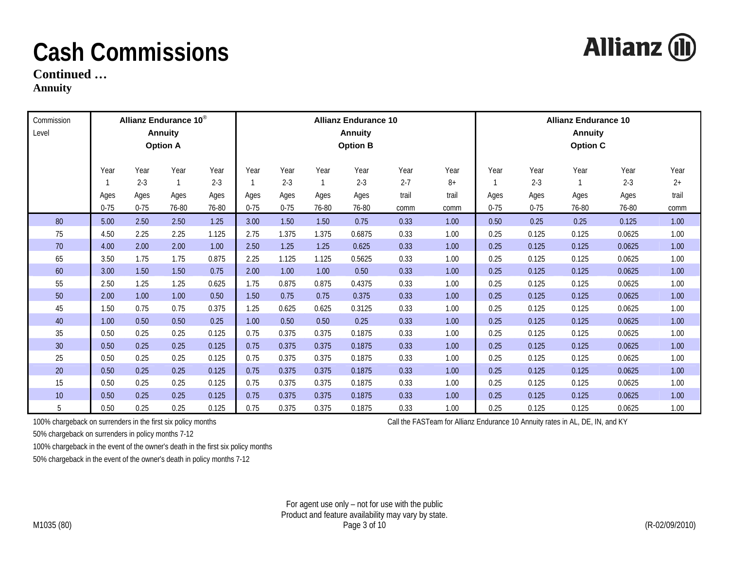**Continued …** 

**Annuity** 

| Commission<br>Level |          |          | Allianz Endurance 10 <sup>®</sup><br><b>Annuity</b><br><b>Option A</b> |         | <b>Allianz Endurance 10</b><br><b>Annuity</b><br><b>Option B</b> |          |       |         |         |       |          | <b>Allianz Endurance 10</b><br><b>Annuity</b><br><b>Option C</b> |       |         |       |  |
|---------------------|----------|----------|------------------------------------------------------------------------|---------|------------------------------------------------------------------|----------|-------|---------|---------|-------|----------|------------------------------------------------------------------|-------|---------|-------|--|
|                     | Year     | Year     | Year                                                                   | Year    | Year                                                             | Year     | Year  | Year    | Year    | Year  | Year     | Year                                                             | Year  | Year    | Year  |  |
|                     |          | $2 - 3$  |                                                                        | $2 - 3$ |                                                                  | $2 - 3$  |       | $2 - 3$ | $2 - 7$ | $8+$  |          | $2 - 3$                                                          |       | $2 - 3$ | $2+$  |  |
|                     | Ages     | Ages     | Ages                                                                   | Ages    | Ages                                                             | Ages     | Ages  | Ages    | trail   | trail | Ages     | Ages                                                             | Ages  | Ages    | trail |  |
|                     | $0 - 75$ | $0 - 75$ | 76-80                                                                  | 76-80   | $0 - 75$                                                         | $0 - 75$ | 76-80 | 76-80   | comm    | comm  | $0 - 75$ | $0 - 75$                                                         | 76-80 | 76-80   | comm  |  |
| 80                  | 5.00     | 2.50     | 2.50                                                                   | 1.25    | 3.00                                                             | 1.50     | 1.50  | 0.75    | 0.33    | 1.00  | 0.50     | 0.25                                                             | 0.25  | 0.125   | 1.00  |  |
| 75                  | 4.50     | 2.25     | 2.25                                                                   | 1.125   | 2.75                                                             | 1.375    | 1.375 | 0.6875  | 0.33    | 1.00  | 0.25     | 0.125                                                            | 0.125 | 0.0625  | 1.00  |  |
| 70                  | 4.00     | 2.00     | 2.00                                                                   | 1.00    | 2.50                                                             | 1.25     | 1.25  | 0.625   | 0.33    | 1.00  | 0.25     | 0.125                                                            | 0.125 | 0.0625  | 1.00  |  |
| 65                  | 3.50     | 1.75     | 1.75                                                                   | 0.875   | 2.25                                                             | 1.125    | 1.125 | 0.5625  | 0.33    | 1.00  | 0.25     | 0.125                                                            | 0.125 | 0.0625  | 1.00  |  |
| 60                  | 3.00     | 1.50     | 1.50                                                                   | 0.75    | 2.00                                                             | 1.00     | 1.00  | 0.50    | 0.33    | 1.00  | 0.25     | 0.125                                                            | 0.125 | 0.0625  | 1.00  |  |
| 55                  | 2.50     | 1.25     | 1.25                                                                   | 0.625   | 1.75                                                             | 0.875    | 0.875 | 0.4375  | 0.33    | 1.00  | 0.25     | 0.125                                                            | 0.125 | 0.0625  | 1.00  |  |
| $50\,$              | 2.00     | 1.00     | 1.00                                                                   | 0.50    | 1.50                                                             | 0.75     | 0.75  | 0.375   | 0.33    | 1.00  | 0.25     | 0.125                                                            | 0.125 | 0.0625  | 1.00  |  |
| 45                  | 1.50     | 0.75     | 0.75                                                                   | 0.375   | 1.25                                                             | 0.625    | 0.625 | 0.3125  | 0.33    | 1.00  | 0.25     | 0.125                                                            | 0.125 | 0.0625  | 1.00  |  |
| 40                  | 1.00     | 0.50     | 0.50                                                                   | 0.25    | 1.00                                                             | 0.50     | 0.50  | 0.25    | 0.33    | 1.00  | 0.25     | 0.125                                                            | 0.125 | 0.0625  | 1.00  |  |
| 35                  | 0.50     | 0.25     | 0.25                                                                   | 0.125   | 0.75                                                             | 0.375    | 0.375 | 0.1875  | 0.33    | 1.00  | 0.25     | 0.125                                                            | 0.125 | 0.0625  | 1.00  |  |
| 30 <sup>°</sup>     | 0.50     | 0.25     | 0.25                                                                   | 0.125   | 0.75                                                             | 0.375    | 0.375 | 0.1875  | 0.33    | 1.00  | 0.25     | 0.125                                                            | 0.125 | 0.0625  | 1.00  |  |
| 25                  | 0.50     | 0.25     | 0.25                                                                   | 0.125   | 0.75                                                             | 0.375    | 0.375 | 0.1875  | 0.33    | 1.00  | 0.25     | 0.125                                                            | 0.125 | 0.0625  | 1.00  |  |
| $20\,$              | 0.50     | 0.25     | 0.25                                                                   | 0.125   | 0.75                                                             | 0.375    | 0.375 | 0.1875  | 0.33    | 1.00  | 0.25     | 0.125                                                            | 0.125 | 0.0625  | 1.00  |  |
| 15                  | 0.50     | 0.25     | 0.25                                                                   | 0.125   | 0.75                                                             | 0.375    | 0.375 | 0.1875  | 0.33    | 1.00  | 0.25     | 0.125                                                            | 0.125 | 0.0625  | 1.00  |  |
| $10$                | 0.50     | 0.25     | 0.25                                                                   | 0.125   | 0.75                                                             | 0.375    | 0.375 | 0.1875  | 0.33    | 1.00  | 0.25     | 0.125                                                            | 0.125 | 0.0625  | 1.00  |  |
| 5                   | 0.50     | 0.25     | 0.25                                                                   | 0.125   | 0.75                                                             | 0.375    | 0.375 | 0.1875  | 0.33    | 1.00  | 0.25     | 0.125                                                            | 0.125 | 0.0625  | 1.00  |  |

100% chargeback on surrenders in the first six policy months Call the FASTeam for Allianz Endurance 10 Annuity rates in AL, DE, IN, and KY

50% chargeback on surrenders in policy months 7-12

100% chargeback in the event of the owner's death in the first six policy months

50% chargeback in the event of the owner's death in policy months 7-12

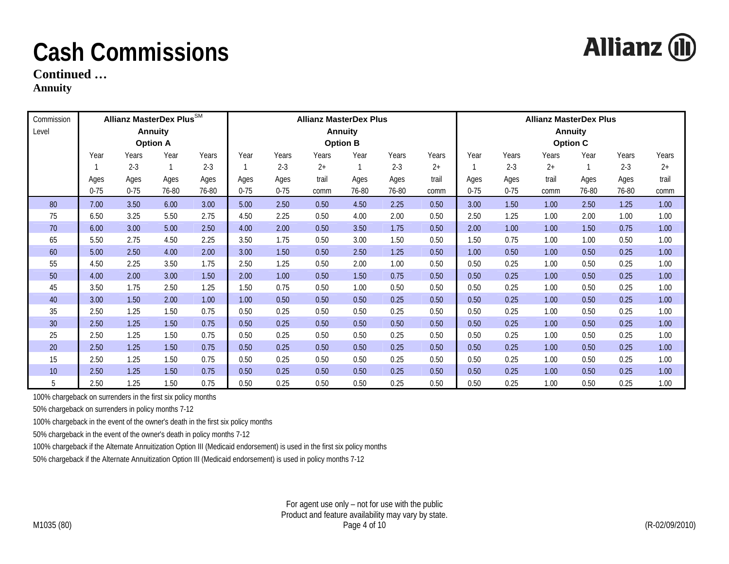**Allianz (II)** 

**Continued …** 

**Annuity** 

| Commission |          | Allianz MasterDex Plus $^{\text{SM}}$ |                 |         | <b>Allianz MasterDex Plus</b> |          |       |                 |         |       |          | <b>Allianz MasterDex Plus</b> |       |                 |         |       |
|------------|----------|---------------------------------------|-----------------|---------|-------------------------------|----------|-------|-----------------|---------|-------|----------|-------------------------------|-------|-----------------|---------|-------|
| Level      |          |                                       | <b>Annuity</b>  |         |                               |          |       | <b>Annuity</b>  |         |       |          |                               |       | <b>Annuity</b>  |         |       |
|            |          |                                       | <b>Option A</b> |         |                               |          |       | <b>Option B</b> |         |       |          |                               |       | <b>Option C</b> |         |       |
|            | Year     | Years                                 | Year            | Years   | Year                          | Years    | Years | Year            | Years   | Years | Year     | Years                         | Years | Year            | Years   | Years |
|            |          | $2 - 3$                               |                 | $2 - 3$ |                               | $2 - 3$  | $2+$  |                 | $2 - 3$ | $2+$  |          | $2 - 3$                       | $2+$  |                 | $2 - 3$ | $2+$  |
|            | Ages     | Ages                                  | Ages            | Ages    | Ages                          | Ages     | trail | Ages            | Ages    | trail | Ages     | Ages                          | trail | Ages            | Ages    | trail |
|            | $0 - 75$ | $0 - 75$                              | 76-80           | 76-80   | $0 - 75$                      | $0 - 75$ | comm  | 76-80           | 76-80   | comm  | $0 - 75$ | $0 - 75$                      | comm  | 76-80           | 76-80   | comm  |
| 80         | 7.00     | 3.50                                  | 6.00            | 3.00    | 5.00                          | 2.50     | 0.50  | 4.50            | 2.25    | 0.50  | 3.00     | 1.50                          | 1.00  | 2.50            | 1.25    | 1.00  |
| 75         | 6.50     | 3.25                                  | 5.50            | 2.75    | 4.50                          | 2.25     | 0.50  | 4.00            | 2.00    | 0.50  | 2.50     | 1.25                          | 1.00  | 2.00            | 1.00    | 1.00  |
| 70         | 6.00     | 3.00                                  | 5.00            | 2.50    | 4.00                          | 2.00     | 0.50  | 3.50            | 1.75    | 0.50  | 2.00     | 1.00                          | 1.00  | 1.50            | 0.75    | 1.00  |
| 65         | 5.50     | 2.75                                  | 4.50            | 2.25    | 3.50                          | 1.75     | 0.50  | 3.00            | 1.50    | 0.50  | 1.50     | 0.75                          | 1.00  | 1.00            | 0.50    | 1.00  |
| 60         | 5.00     | 2.50                                  | 4.00            | 2.00    | 3.00                          | 1.50     | 0.50  | 2.50            | 1.25    | 0.50  | 1.00     | 0.50                          | 1.00  | 0.50            | 0.25    | 1.00  |
| 55         | 4.50     | 2.25                                  | 3.50            | 1.75    | 2.50                          | 1.25     | 0.50  | 2.00            | 1.00    | 0.50  | 0.50     | 0.25                          | 1.00  | 0.50            | 0.25    | 1.00  |
| 50         | 4.00     | 2.00                                  | 3.00            | 1.50    | 2.00                          | 1.00     | 0.50  | 1.50            | 0.75    | 0.50  | 0.50     | 0.25                          | 1.00  | 0.50            | 0.25    | 1.00  |
| 45         | 3.50     | 1.75                                  | 2.50            | 1.25    | 1.50                          | 0.75     | 0.50  | 1.00            | 0.50    | 0.50  | 0.50     | 0.25                          | 1.00  | 0.50            | 0.25    | 1.00  |
| 40         | 3.00     | 1.50                                  | 2.00            | 1.00    | 1.00                          | 0.50     | 0.50  | 0.50            | 0.25    | 0.50  | 0.50     | 0.25                          | 1.00  | 0.50            | 0.25    | 1.00  |
| 35         | 2.50     | 1.25                                  | 1.50            | 0.75    | 0.50                          | 0.25     | 0.50  | 0.50            | 0.25    | 0.50  | 0.50     | 0.25                          | 1.00  | 0.50            | 0.25    | 1.00  |
| 30         | 2.50     | 1.25                                  | 1.50            | 0.75    | 0.50                          | 0.25     | 0.50  | 0.50            | 0.50    | 0.50  | 0.50     | 0.25                          | 1.00  | 0.50            | 0.25    | 1.00  |
| 25         | 2.50     | 1.25                                  | 1.50            | 0.75    | 0.50                          | 0.25     | 0.50  | 0.50            | 0.25    | 0.50  | 0.50     | 0.25                          | 1.00  | 0.50            | 0.25    | 1.00  |
| 20         | 2.50     | 1.25                                  | 1.50            | 0.75    | 0.50                          | 0.25     | 0.50  | 0.50            | 0.25    | 0.50  | 0.50     | 0.25                          | 1.00  | 0.50            | 0.25    | 1.00  |
| 15         | 2.50     | 1.25                                  | 1.50            | 0.75    | 0.50                          | 0.25     | 0.50  | 0.50            | 0.25    | 0.50  | 0.50     | 0.25                          | 1.00  | 0.50            | 0.25    | 1.00  |
| 10         | 2.50     | 1.25                                  | 1.50            | 0.75    | 0.50                          | 0.25     | 0.50  | 0.50            | 0.25    | 0.50  | 0.50     | 0.25                          | 1.00  | 0.50            | 0.25    | 1.00  |
| 5          | 2.50     | 1.25                                  | 1.50            | 0.75    | 0.50                          | 0.25     | 0.50  | 0.50            | 0.25    | 0.50  | 0.50     | 0.25                          | 1.00  | 0.50            | 0.25    | 1.00  |

100% chargeback on surrenders in the first six policy months

50% chargeback on surrenders in policy months 7-12

100% chargeback in the event of the owner's death in the first six policy months

50% chargeback in the event of the owner's death in policy months 7-12

100% chargeback if the Alternate Annuitization Option III (Medicaid endorsement) is used in the first six policy months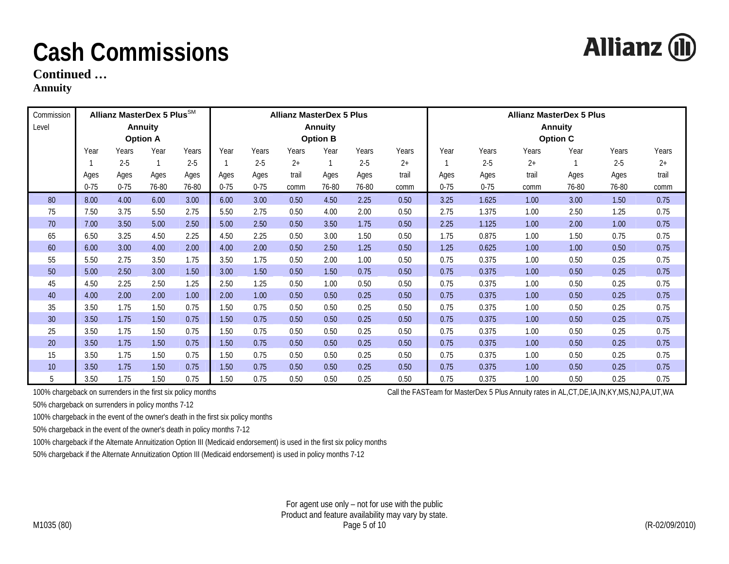**Continued …** 

#### **Annuity**

| Commission |          | Allianz MasterDex 5 Plus <sup>SM</sup> |                 |         |          |          | <b>Allianz MasterDex 5 Plus</b> |                 |         |       | <b>Allianz MasterDex 5 Plus</b> |          |       |                 |         |       |
|------------|----------|----------------------------------------|-----------------|---------|----------|----------|---------------------------------|-----------------|---------|-------|---------------------------------|----------|-------|-----------------|---------|-------|
| Level      |          |                                        | <b>Annuity</b>  |         |          |          |                                 | <b>Annuity</b>  |         |       |                                 |          |       | <b>Annuity</b>  |         |       |
|            |          |                                        | <b>Option A</b> |         |          |          |                                 | <b>Option B</b> |         |       |                                 |          |       | <b>Option C</b> |         |       |
|            | Year     | Years                                  | Year            | Years   | Year     | Years    | Years                           | Year            | Years   | Years | Year                            | Years    | Years | Year            | Years   | Years |
|            |          | $2 - 5$                                | $\mathbf 1$     | $2 - 5$ |          | $2 - 5$  | $2+$                            | $\mathbf{1}$    | $2 - 5$ | $2+$  |                                 | $2 - 5$  | $2+$  |                 | $2 - 5$ | $2+$  |
|            | Ages     | Ages                                   | Ages            | Ages    | Ages     | Ages     | trail                           | Ages            | Ages    | trail | Ages                            | Ages     | trail | Ages            | Ages    | trail |
|            | $0 - 75$ | $0 - 75$                               | 76-80           | 76-80   | $0 - 75$ | $0 - 75$ | comm                            | 76-80           | 76-80   | comm  | $0 - 75$                        | $0 - 75$ | comm  | 76-80           | 76-80   | comm  |
| 80         | 8.00     | 4.00                                   | 6.00            | 3.00    | 6.00     | 3.00     | 0.50                            | 4.50            | 2.25    | 0.50  | 3.25                            | 1.625    | 1.00  | 3.00            | 1.50    | 0.75  |
| 75         | 7.50     | 3.75                                   | 5.50            | 2.75    | 5.50     | 2.75     | 0.50                            | 4.00            | 2.00    | 0.50  | 2.75                            | 1.375    | 1.00  | 2.50            | 1.25    | 0.75  |
| 70         | 7.00     | 3.50                                   | 5.00            | 2.50    | 5.00     | 2.50     | 0.50                            | 3.50            | 1.75    | 0.50  | 2.25                            | 1.125    | 1.00  | 2.00            | 1.00    | 0.75  |
| 65         | 6.50     | 3.25                                   | 4.50            | 2.25    | 4.50     | 2.25     | 0.50                            | 3.00            | 1.50    | 0.50  | 1.75                            | 0.875    | 1.00  | 1.50            | 0.75    | 0.75  |
| 60         | 6.00     | 3.00                                   | 4.00            | 2.00    | 4.00     | 2.00     | 0.50                            | 2.50            | 1.25    | 0.50  | 1.25                            | 0.625    | 1.00  | 1.00            | 0.50    | 0.75  |
| 55         | 5.50     | 2.75                                   | 3.50            | 1.75    | 3.50     | 1.75     | 0.50                            | 2.00            | 1.00    | 0.50  | 0.75                            | 0.375    | 1.00  | 0.50            | 0.25    | 0.75  |
| 50         | 5.00     | 2.50                                   | 3.00            | 1.50    | 3.00     | 1.50     | 0.50                            | 1.50            | 0.75    | 0.50  | 0.75                            | 0.375    | 1.00  | 0.50            | 0.25    | 0.75  |
| 45         | 4.50     | 2.25                                   | 2.50            | 1.25    | 2.50     | 1.25     | 0.50                            | 1.00            | 0.50    | 0.50  | 0.75                            | 0.375    | 1.00  | 0.50            | 0.25    | 0.75  |
| 40         | 4.00     | 2.00                                   | 2.00            | 1.00    | 2.00     | 1.00     | 0.50                            | 0.50            | 0.25    | 0.50  | 0.75                            | 0.375    | 1.00  | 0.50            | 0.25    | 0.75  |
| 35         | 3.50     | 1.75                                   | 1.50            | 0.75    | 1.50     | 0.75     | 0.50                            | 0.50            | 0.25    | 0.50  | 0.75                            | 0.375    | 1.00  | 0.50            | 0.25    | 0.75  |
| 30         | 3.50     | 1.75                                   | 1.50            | 0.75    | 1.50     | 0.75     | 0.50                            | 0.50            | 0.25    | 0.50  | 0.75                            | 0.375    | 1.00  | 0.50            | 0.25    | 0.75  |
| 25         | 3.50     | 1.75                                   | 1.50            | 0.75    | 1.50     | 0.75     | 0.50                            | 0.50            | 0.25    | 0.50  | 0.75                            | 0.375    | 1.00  | 0.50            | 0.25    | 0.75  |
| 20         | 3.50     | 1.75                                   | 1.50            | 0.75    | 1.50     | 0.75     | 0.50                            | 0.50            | 0.25    | 0.50  | 0.75                            | 0.375    | 1.00  | 0.50            | 0.25    | 0.75  |
| 15         | 3.50     | 1.75                                   | 1.50            | 0.75    | 1.50     | 0.75     | 0.50                            | 0.50            | 0.25    | 0.50  | 0.75                            | 0.375    | 1.00  | 0.50            | 0.25    | 0.75  |
| 10         | 3.50     | 1.75                                   | 1.50            | 0.75    | 1.50     | 0.75     | 0.50                            | 0.50            | 0.25    | 0.50  | 0.75                            | 0.375    | 1.00  | 0.50            | 0.25    | 0.75  |
| 5          | 3.50     | 1.75                                   | 1.50            | 0.75    | 1.50     | 0.75     | 0.50                            | 0.50            | 0.25    | 0.50  | 0.75                            | 0.375    | 1.00  | 0.50            | 0.25    | 0.75  |

100% chargeback on surrenders in the first six policy months Call the FASTeam for MasterDex 5 Plus Annuity rates in AL,CT,DE,IA,IN,KY,MS,NJ,PA,UT,WA

50% chargeback on surrenders in policy months 7-12

100% chargeback in the event of the owner's death in the first six policy months

50% chargeback in the event of the owner's death in policy months 7-12

100% chargeback if the Alternate Annuitization Option III (Medicaid endorsement) is used in the first six policy months

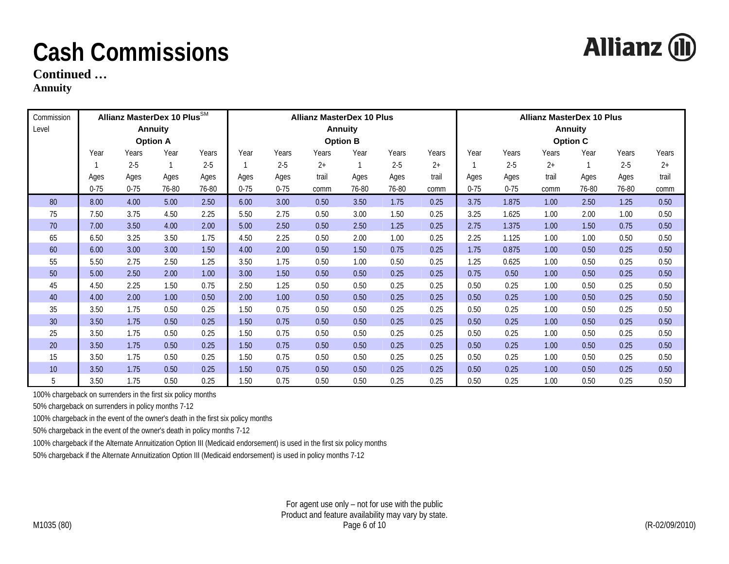**Allianz (II)** 

#### **Continued …**

**Annuity** 

| Commission |          | Allianz MasterDex 10 Plus <sup>SM</sup> |                 |         |          |          | <b>Allianz MasterDex 10 Plus</b> |                 |         | <b>Allianz MasterDex 10 Plus</b> |          |          |       |                 |         |       |
|------------|----------|-----------------------------------------|-----------------|---------|----------|----------|----------------------------------|-----------------|---------|----------------------------------|----------|----------|-------|-----------------|---------|-------|
| Level      |          |                                         | <b>Annuity</b>  |         |          |          |                                  | <b>Annuity</b>  |         |                                  |          |          |       | <b>Annuity</b>  |         |       |
|            |          |                                         | <b>Option A</b> |         |          |          |                                  | <b>Option B</b> |         |                                  |          |          |       | <b>Option C</b> |         |       |
|            | Year     | Years                                   | Year            | Years   | Year     | Years    | Years                            | Year            | Years   | Years                            | Year     | Years    | Years | Year            | Years   | Years |
|            |          | $2 - 5$                                 |                 | $2 - 5$ |          | $2 - 5$  | $2+$                             |                 | $2 - 5$ | $2+$                             |          | $2 - 5$  | $2+$  |                 | $2 - 5$ | $2+$  |
|            | Ages     | Ages                                    | Ages            | Ages    | Ages     | Ages     | trail                            | Ages            | Ages    | trail                            | Ages     | Ages     | trail | Ages            | Ages    | trail |
|            | $0 - 75$ | $0 - 75$                                | 76-80           | 76-80   | $0 - 75$ | $0 - 75$ | comm                             | 76-80           | 76-80   | comm                             | $0 - 75$ | $0 - 75$ | comm  | 76-80           | 76-80   | comm  |
| 80         | 8.00     | 4.00                                    | 5.00            | 2.50    | 6.00     | 3.00     | 0.50                             | 3.50            | 1.75    | 0.25                             | 3.75     | 1.875    | 1.00  | 2.50            | 1.25    | 0.50  |
| 75         | 7.50     | 3.75                                    | 4.50            | 2.25    | 5.50     | 2.75     | 0.50                             | 3.00            | 1.50    | 0.25                             | 3.25     | 1.625    | 1.00  | 2.00            | 1.00    | 0.50  |
| 70         | 7.00     | 3.50                                    | 4.00            | 2.00    | 5.00     | 2.50     | 0.50                             | 2.50            | 1.25    | 0.25                             | 2.75     | 1.375    | 1.00  | 1.50            | 0.75    | 0.50  |
| 65         | 6.50     | 3.25                                    | 3.50            | 1.75    | 4.50     | 2.25     | 0.50                             | 2.00            | 1.00    | 0.25                             | 2.25     | 1.125    | 1.00  | 1.00            | 0.50    | 0.50  |
| 60         | 6.00     | 3.00                                    | 3.00            | 1.50    | 4.00     | 2.00     | 0.50                             | 1.50            | 0.75    | 0.25                             | 1.75     | 0.875    | 1.00  | 0.50            | 0.25    | 0.50  |
| 55         | 5.50     | 2.75                                    | 2.50            | 1.25    | 3.50     | 1.75     | 0.50                             | 1.00            | 0.50    | 0.25                             | 1.25     | 0.625    | 1.00  | 0.50            | 0.25    | 0.50  |
| 50         | 5.00     | 2.50                                    | 2.00            | 1.00    | 3.00     | 1.50     | 0.50                             | 0.50            | 0.25    | 0.25                             | 0.75     | 0.50     | 1.00  | 0.50            | 0.25    | 0.50  |
| 45         | 4.50     | 2.25                                    | 1.50            | 0.75    | 2.50     | 1.25     | 0.50                             | 0.50            | 0.25    | 0.25                             | 0.50     | 0.25     | 1.00  | 0.50            | 0.25    | 0.50  |
| 40         | 4.00     | 2.00                                    | 1.00            | 0.50    | 2.00     | 1.00     | 0.50                             | 0.50            | 0.25    | 0.25                             | 0.50     | 0.25     | 1.00  | 0.50            | 0.25    | 0.50  |
| 35         | 3.50     | 1.75                                    | 0.50            | 0.25    | 1.50     | 0.75     | 0.50                             | 0.50            | 0.25    | 0.25                             | 0.50     | 0.25     | 1.00  | 0.50            | 0.25    | 0.50  |
| 30         | 3.50     | 1.75                                    | 0.50            | 0.25    | 1.50     | 0.75     | 0.50                             | 0.50            | 0.25    | 0.25                             | 0.50     | 0.25     | 1.00  | 0.50            | 0.25    | 0.50  |
| 25         | 3.50     | 1.75                                    | 0.50            | 0.25    | 1.50     | 0.75     | 0.50                             | 0.50            | 0.25    | 0.25                             | 0.50     | 0.25     | 1.00  | 0.50            | 0.25    | 0.50  |
| 20         | 3.50     | 1.75                                    | 0.50            | 0.25    | 1.50     | 0.75     | 0.50                             | 0.50            | 0.25    | 0.25                             | 0.50     | 0.25     | 1.00  | 0.50            | 0.25    | 0.50  |
| 15         | 3.50     | 1.75                                    | 0.50            | 0.25    | 1.50     | 0.75     | 0.50                             | 0.50            | 0.25    | 0.25                             | 0.50     | 0.25     | 1.00  | 0.50            | 0.25    | 0.50  |
| 10         | 3.50     | 1.75                                    | 0.50            | 0.25    | 1.50     | 0.75     | 0.50                             | 0.50            | 0.25    | 0.25                             | 0.50     | 0.25     | 1.00  | 0.50            | 0.25    | 0.50  |
| 5          | 3.50     | 1.75                                    | 0.50            | 0.25    | 1.50     | 0.75     | 0.50                             | 0.50            | 0.25    | 0.25                             | 0.50     | 0.25     | 1.00  | 0.50            | 0.25    | 0.50  |

100% chargeback on surrenders in the first six policy months

50% chargeback on surrenders in policy months 7-12

100% chargeback in the event of the owner's death in the first six policy months

50% chargeback in the event of the owner's death in policy months 7-12

100% chargeback if the Alternate Annuitization Option III (Medicaid endorsement) is used in the first six policy months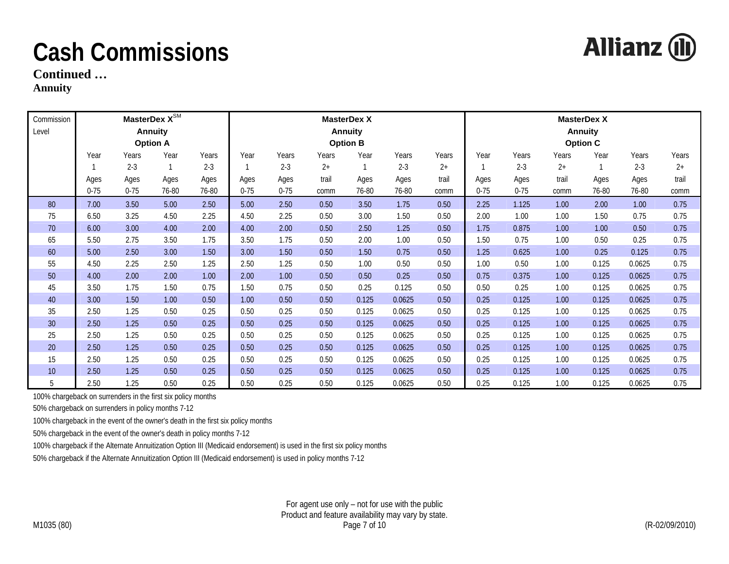**Allianz (II)** 

**Continued …** 

**Annuity** 

| Commission<br>Level |          |          | MasterDex $X^{\text{SM}}$<br><b>Annuity</b><br><b>Option A</b> |         |          |          |       | <b>MasterDex X</b><br><b>Annuity</b><br><b>Option B</b> |         | <b>MasterDex X</b><br><b>Annuity</b><br><b>Option C</b> |          |          |       |       |         |       |
|---------------------|----------|----------|----------------------------------------------------------------|---------|----------|----------|-------|---------------------------------------------------------|---------|---------------------------------------------------------|----------|----------|-------|-------|---------|-------|
|                     | Year     | Years    | Year                                                           | Years   | Year     | Years    | Years | Year                                                    | Years   | Years                                                   | Year     | Years    | Years | Year  | Years   | Years |
|                     |          | $2 - 3$  |                                                                | $2 - 3$ |          | $2 - 3$  | $2+$  | 1                                                       | $2 - 3$ | $2+$                                                    |          | $2 - 3$  | $2+$  |       | $2 - 3$ | $2+$  |
|                     | Ages     | Ages     | Ages                                                           | Ages    | Ages     | Ages     | trail | Ages                                                    | Ages    | trail                                                   | Ages     | Ages     | trail | Ages  | Ages    | trail |
|                     | $0 - 75$ | $0 - 75$ | 76-80                                                          | 76-80   | $0 - 75$ | $0 - 75$ | comm  | 76-80                                                   | 76-80   | comm                                                    | $0 - 75$ | $0 - 75$ | comm  | 76-80 | 76-80   | comm  |
| 80                  | 7.00     | 3.50     | 5.00                                                           | 2.50    | 5.00     | 2.50     | 0.50  | 3.50                                                    | 1.75    | 0.50                                                    | 2.25     | 1.125    | 1.00  | 2.00  | 1.00    | 0.75  |
| 75                  | 6.50     | 3.25     | 4.50                                                           | 2.25    | 4.50     | 2.25     | 0.50  | 3.00                                                    | 1.50    | 0.50                                                    | 2.00     | 1.00     | 1.00  | 1.50  | 0.75    | 0.75  |
| 70                  | 6.00     | 3.00     | 4.00                                                           | 2.00    | 4.00     | 2.00     | 0.50  | 2.50                                                    | 1.25    | 0.50                                                    | 1.75     | 0.875    | 1.00  | 1.00  | 0.50    | 0.75  |
| 65                  | 5.50     | 2.75     | 3.50                                                           | 1.75    | 3.50     | 1.75     | 0.50  | 2.00                                                    | 1.00    | 0.50                                                    | 1.50     | 0.75     | 1.00  | 0.50  | 0.25    | 0.75  |
| 60                  | 5.00     | 2.50     | 3.00                                                           | 1.50    | 3.00     | 1.50     | 0.50  | 1.50                                                    | 0.75    | 0.50                                                    | 1.25     | 0.625    | 1.00  | 0.25  | 0.125   | 0.75  |
| 55                  | 4.50     | 2.25     | 2.50                                                           | 1.25    | 2.50     | 1.25     | 0.50  | 1.00                                                    | 0.50    | 0.50                                                    | 1.00     | 0.50     | 1.00  | 0.125 | 0.0625  | 0.75  |
| 50                  | 4.00     | 2.00     | 2.00                                                           | 1.00    | 2.00     | 1.00     | 0.50  | 0.50                                                    | 0.25    | 0.50                                                    | 0.75     | 0.375    | 1.00  | 0.125 | 0.0625  | 0.75  |
| 45                  | 3.50     | 1.75     | 1.50                                                           | 0.75    | 1.50     | 0.75     | 0.50  | 0.25                                                    | 0.125   | 0.50                                                    | 0.50     | 0.25     | 1.00  | 0.125 | 0.0625  | 0.75  |
| 40                  | 3.00     | 1.50     | 1.00                                                           | 0.50    | 1.00     | 0.50     | 0.50  | 0.125                                                   | 0.0625  | 0.50                                                    | 0.25     | 0.125    | 1.00  | 0.125 | 0.0625  | 0.75  |
| 35                  | 2.50     | 1.25     | 0.50                                                           | 0.25    | 0.50     | 0.25     | 0.50  | 0.125                                                   | 0.0625  | 0.50                                                    | 0.25     | 0.125    | 1.00  | 0.125 | 0.0625  | 0.75  |
| 30                  | 2.50     | 1.25     | 0.50                                                           | 0.25    | 0.50     | 0.25     | 0.50  | 0.125                                                   | 0.0625  | 0.50                                                    | 0.25     | 0.125    | 1.00  | 0.125 | 0.0625  | 0.75  |
| 25                  | 2.50     | 1.25     | 0.50                                                           | 0.25    | 0.50     | 0.25     | 0.50  | 0.125                                                   | 0.0625  | 0.50                                                    | 0.25     | 0.125    | 1.00  | 0.125 | 0.0625  | 0.75  |
| 20                  | 2.50     | 1.25     | 0.50                                                           | 0.25    | 0.50     | 0.25     | 0.50  | 0.125                                                   | 0.0625  | 0.50                                                    | 0.25     | 0.125    | 1.00  | 0.125 | 0.0625  | 0.75  |
| 15                  | 2.50     | 1.25     | 0.50                                                           | 0.25    | 0.50     | 0.25     | 0.50  | 0.125                                                   | 0.0625  | 0.50                                                    | 0.25     | 0.125    | 1.00  | 0.125 | 0.0625  | 0.75  |
| 10                  | 2.50     | 1.25     | 0.50                                                           | 0.25    | 0.50     | 0.25     | 0.50  | 0.125                                                   | 0.0625  | 0.50                                                    | 0.25     | 0.125    | 1.00  | 0.125 | 0.0625  | 0.75  |
| 5                   | 2.50     | 1.25     | 0.50                                                           | 0.25    | 0.50     | 0.25     | 0.50  | 0.125                                                   | 0.0625  | 0.50                                                    | 0.25     | 0.125    | 1.00  | 0.125 | 0.0625  | 0.75  |

100% chargeback on surrenders in the first six policy months

50% chargeback on surrenders in policy months 7-12

100% chargeback in the event of the owner's death in the first six policy months

50% chargeback in the event of the owner's death in policy months 7-12

100% chargeback if the Alternate Annuitization Option III (Medicaid endorsement) is used in the first six policy months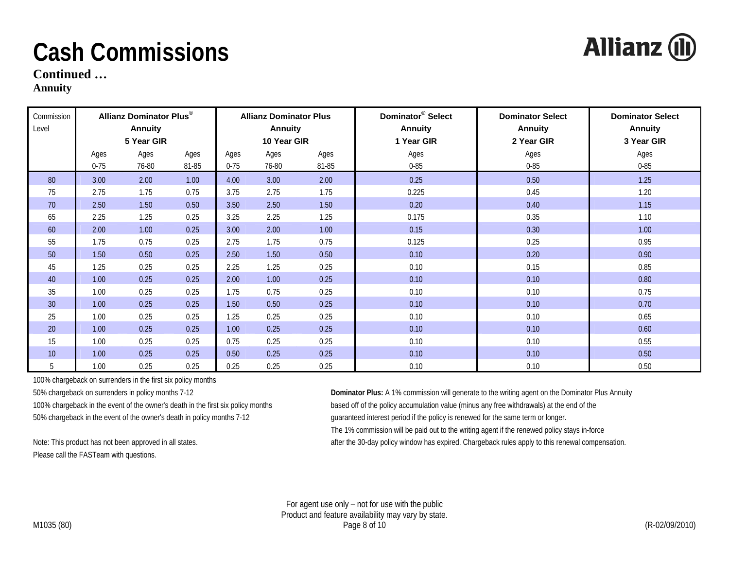**Continued …** 

#### **Annuity**

| Commission      |          | <b>Allianz Dominator Plus®</b> |       |          | <b>Allianz Dominator Plus</b> |       | Dominator <sup>®</sup> Select | <b>Dominator Select</b> | <b>Dominator Select</b> |
|-----------------|----------|--------------------------------|-------|----------|-------------------------------|-------|-------------------------------|-------------------------|-------------------------|
| Level           |          | <b>Annuity</b>                 |       |          | <b>Annuity</b>                |       | <b>Annuity</b>                | Annuity                 | <b>Annuity</b>          |
|                 |          | 5 Year GIR                     |       |          | 10 Year GIR                   |       | 1 Year GIR                    | 2 Year GIR              | 3 Year GIR              |
|                 | Ages     | Ages                           | Ages  | Ages     | Ages                          | Ages  | Ages                          | Ages                    | Ages                    |
|                 | $0 - 75$ | 76-80                          | 81-85 | $0 - 75$ | 76-80                         | 81-85 | $0 - 85$                      | $0 - 85$                | $0 - 85$                |
| 80              | 3.00     | 2.00                           | 1.00  | 4.00     | 3.00                          | 2.00  | 0.25                          | 0.50                    | 1.25                    |
| 75              | 2.75     | 1.75                           | 0.75  | 3.75     | 2.75                          | 1.75  | 0.225                         | 0.45                    | 1.20                    |
| 70              | 2.50     | 1.50                           | 0.50  | 3.50     | 2.50                          | 1.50  | 0.20                          | 0.40                    | 1.15                    |
| 65              | 2.25     | 1.25                           | 0.25  | 3.25     | 2.25                          | 1.25  | 0.175                         | 0.35                    | 1.10                    |
| 60              | 2.00     | 1.00                           | 0.25  | 3.00     | 2.00                          | 1.00  | 0.15                          | 0.30                    | 1.00                    |
| 55              | 1.75     | 0.75                           | 0.25  | 2.75     | 1.75                          | 0.75  | 0.125                         | 0.25                    | 0.95                    |
| 50              | 1.50     | 0.50                           | 0.25  | 2.50     | 1.50                          | 0.50  | 0.10                          | 0.20                    | 0.90                    |
| 45              | 1.25     | 0.25                           | 0.25  | 2.25     | 1.25                          | 0.25  | 0.10                          | 0.15                    | 0.85                    |
| 40              | 1.00     | 0.25                           | 0.25  | 2.00     | 1.00                          | 0.25  | 0.10                          | 0.10                    | 0.80                    |
| 35              | 1.00     | 0.25                           | 0.25  | 1.75     | 0.75                          | 0.25  | 0.10                          | 0.10                    | 0.75                    |
| 30 <sup>°</sup> | 1.00     | 0.25                           | 0.25  | 1.50     | 0.50                          | 0.25  | 0.10                          | 0.10                    | 0.70                    |
| 25              | 1.00     | 0.25                           | 0.25  | 1.25     | 0.25                          | 0.25  | 0.10                          | 0.10                    | 0.65                    |
| 20              | 1.00     | 0.25                           | 0.25  | 1.00     | 0.25                          | 0.25  | 0.10                          | 0.10                    | 0.60                    |
| 15              | 1.00     | 0.25                           | 0.25  | 0.75     | 0.25                          | 0.25  | 0.10                          | 0.10                    | 0.55                    |
| 10              | 1.00     | 0.25                           | 0.25  | 0.50     | 0.25                          | 0.25  | 0.10                          | 0.10                    | 0.50                    |
| 5               | 1.00     | 0.25                           | 0.25  | 0.25     | 0.25                          | 0.25  | 0.10                          | 0.10                    | 0.50                    |

100% chargeback on surrenders in the first six policy months

50% chargeback in the event of the owner's death in policy months 7-12 guaranteed interest period if the policy is renewed for the same term or longer.

Please call the FASTeam with questions.

50% chargeback on surrenders in policy months 7-12 **Dominator Plus:** A 1% commission will generate to the writing agent on the Dominator Plus Annuity 100% chargeback in the event of the owner's death in the first six policy months based off of the policy accumulation value (minus any free withdrawals) at the end of the The 1% commission will be paid out to the writing agent if the renewed policy stays in-force

Note: This product has not been approved in all states. This is after the 30-day policy window has expired. Chargeback rules apply to this renewal compensation.

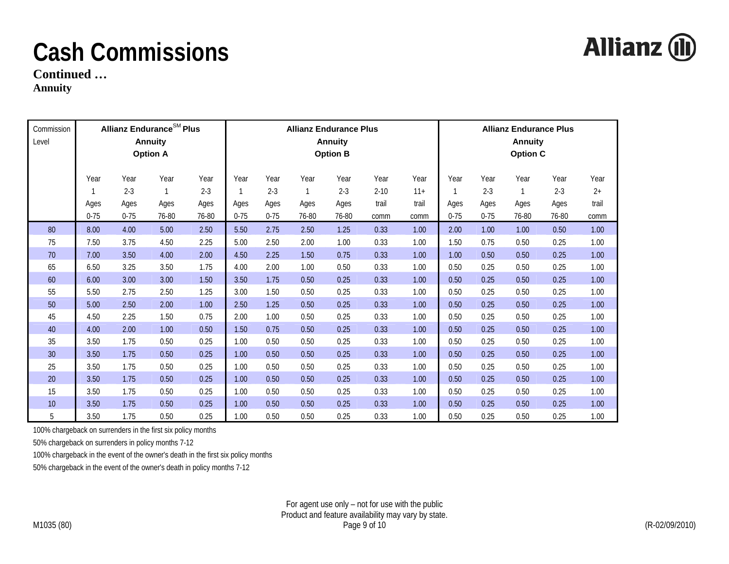

**Continued …** 

**Annuity** 

| Commission<br>Level |                          |                                     | <b>Allianz Endurance<sup>SM</sup> Plus</b><br><b>Annuity</b><br><b>Option A</b> |                                  | <b>Allianz Endurance Plus</b><br><b>Annuity</b><br><b>Option B</b> |                                     |                       |                                  |                                   |                                |                               | <b>Allianz Endurance Plus</b><br><b>Annuity</b><br><b>Option C</b> |                                       |                                  |                               |  |
|---------------------|--------------------------|-------------------------------------|---------------------------------------------------------------------------------|----------------------------------|--------------------------------------------------------------------|-------------------------------------|-----------------------|----------------------------------|-----------------------------------|--------------------------------|-------------------------------|--------------------------------------------------------------------|---------------------------------------|----------------------------------|-------------------------------|--|
|                     | Year<br>Ages<br>$0 - 75$ | Year<br>$2 - 3$<br>Ages<br>$0 - 75$ | Year<br>Ages<br>76-80                                                           | Year<br>$2 - 3$<br>Ages<br>76-80 | Year<br>Ages<br>$0 - 75$                                           | Year<br>$2 - 3$<br>Ages<br>$0 - 75$ | Year<br>Ages<br>76-80 | Year<br>$2 - 3$<br>Ages<br>76-80 | Year<br>$2 - 10$<br>trail<br>comm | Year<br>$11+$<br>trail<br>comm | Year<br>1<br>Ages<br>$0 - 75$ | Year<br>$2 - 3$<br>Ages<br>$0 - 75$                                | Year<br>$\mathbf{1}$<br>Ages<br>76-80 | Year<br>$2 - 3$<br>Ages<br>76-80 | Year<br>$2+$<br>trail<br>comm |  |
| 80                  | 8.00                     | 4.00                                | 5.00                                                                            | 2.50                             | 5.50                                                               | 2.75                                | 2.50                  | 1.25                             | 0.33                              | 1.00                           | 2.00                          | 1.00                                                               | 1.00                                  | 0.50                             | 1.00                          |  |
| 75                  | 7.50                     | 3.75                                | 4.50                                                                            | 2.25                             | 5.00                                                               | 2.50                                | 2.00                  | 1.00                             | 0.33                              | 1.00                           | 1.50                          | 0.75                                                               | 0.50                                  | 0.25                             | 1.00                          |  |
| 70                  | 7.00                     | 3.50                                | 4.00                                                                            | 2.00                             | 4.50                                                               | 2.25                                | 1.50                  | 0.75                             | 0.33                              | 1.00                           | 1.00                          | 0.50                                                               | 0.50                                  | 0.25                             | 1.00                          |  |
| 65                  | 6.50                     | 3.25                                | 3.50                                                                            | 1.75                             | 4.00                                                               | 2.00                                | 1.00                  | 0.50                             | 0.33                              | 1.00                           | 0.50                          | 0.25                                                               | 0.50                                  | 0.25                             | 1.00                          |  |
| 60                  | 6.00                     | 3.00                                | 3.00                                                                            | 1.50                             | 3.50                                                               | 1.75                                | 0.50                  | 0.25                             | 0.33                              | 1.00                           | 0.50                          | 0.25                                                               | 0.50                                  | 0.25                             | 1.00                          |  |
| 55                  | 5.50                     | 2.75                                | 2.50                                                                            | 1.25                             | 3.00                                                               | 1.50                                | 0.50                  | 0.25                             | 0.33                              | 1.00                           | 0.50                          | 0.25                                                               | 0.50                                  | 0.25                             | 1.00                          |  |
| 50                  | 5.00                     | 2.50                                | 2.00                                                                            | 1.00                             | 2.50                                                               | 1.25                                | 0.50                  | 0.25                             | 0.33                              | 1.00                           | 0.50                          | 0.25                                                               | 0.50                                  | 0.25                             | 1.00                          |  |
| 45                  | 4.50                     | 2.25                                | 1.50                                                                            | 0.75                             | 2.00                                                               | 1.00                                | 0.50                  | 0.25                             | 0.33                              | 1.00                           | 0.50                          | 0.25                                                               | 0.50                                  | 0.25                             | 1.00                          |  |
| 40                  | 4.00                     | 2.00                                | 1.00                                                                            | 0.50                             | 1.50                                                               | 0.75                                | 0.50                  | 0.25                             | 0.33                              | 1.00                           | 0.50                          | 0.25                                                               | 0.50                                  | 0.25                             | 1.00                          |  |
| 35                  | 3.50                     | 1.75                                | 0.50                                                                            | 0.25                             | 1.00                                                               | 0.50                                | 0.50                  | 0.25                             | 0.33                              | 1.00                           | 0.50                          | 0.25                                                               | 0.50                                  | 0.25                             | 1.00                          |  |
| 30                  | 3.50                     | 1.75                                | 0.50                                                                            | 0.25                             | 1.00                                                               | 0.50                                | 0.50                  | 0.25                             | 0.33                              | 1.00                           | 0.50                          | 0.25                                                               | 0.50                                  | 0.25                             | 1.00                          |  |
| 25                  | 3.50                     | 1.75                                | 0.50                                                                            | 0.25                             | 1.00                                                               | 0.50                                | 0.50                  | 0.25                             | 0.33                              | 1.00                           | 0.50                          | 0.25                                                               | 0.50                                  | 0.25                             | 1.00                          |  |
| $20\,$              | 3.50                     | 1.75                                | 0.50                                                                            | 0.25                             | 1.00                                                               | 0.50                                | 0.50                  | 0.25                             | 0.33                              | 1.00                           | 0.50                          | 0.25                                                               | 0.50                                  | 0.25                             | 1.00                          |  |
| 15                  | 3.50                     | 1.75                                | 0.50                                                                            | 0.25                             | 1.00                                                               | 0.50                                | 0.50                  | 0.25                             | 0.33                              | 1.00                           | 0.50                          | 0.25                                                               | 0.50                                  | 0.25                             | 1.00                          |  |
| 10                  | 3.50                     | 1.75                                | 0.50                                                                            | 0.25                             | 1.00                                                               | 0.50                                | 0.50                  | 0.25                             | 0.33                              | 1.00                           | 0.50                          | 0.25                                                               | 0.50                                  | 0.25                             | 1.00                          |  |
| 5                   | 3.50                     | 1.75                                | 0.50                                                                            | 0.25                             | 1.00                                                               | 0.50                                | 0.50                  | 0.25                             | 0.33                              | 1.00                           | 0.50                          | 0.25                                                               | 0.50                                  | 0.25                             | 1.00                          |  |

100% chargeback on surrenders in the first six policy months

50% chargeback on surrenders in policy months 7-12

100% chargeback in the event of the owner's death in the first six policy months

50% chargeback in the event of the owner's death in policy months 7-12